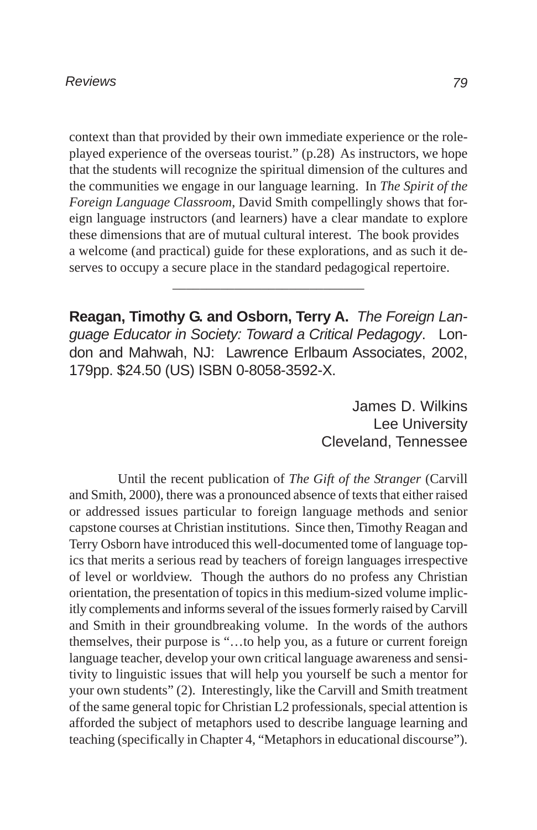context than that provided by their own immediate experience or the roleplayed experience of the overseas tourist." (p.28) As instructors, we hope that the students will recognize the spiritual dimension of the cultures and the communities we engage in our language learning. In *The Spirit of the Foreign Language Classroom*, David Smith compellingly shows that foreign language instructors (and learners) have a clear mandate to explore these dimensions that are of mutual cultural interest. The book provides a welcome (and practical) guide for these explorations, and as such it deserves to occupy a secure place in the standard pedagogical repertoire.

**Reagan, Timothy G. and Osborn, Terry A.** *The Foreign Language Educator in Society: Toward a Critical Pedagogy*. London and Mahwah, NJ: Lawrence Erlbaum Associates, 2002, 179pp. \$24.50 (US) ISBN 0-8058-3592-X.

\_\_\_\_\_\_\_\_\_\_\_\_\_\_\_\_\_\_\_\_\_\_\_\_\_\_\_\_

James D. Wilkins Lee University Cleveland, Tennessee

Until the recent publication of *The Gift of the Stranger* (Carvill and Smith, 2000), there was a pronounced absence of texts that either raised or addressed issues particular to foreign language methods and senior capstone courses at Christian institutions. Since then, Timothy Reagan and Terry Osborn have introduced this well-documented tome of language topics that merits a serious read by teachers of foreign languages irrespective of level or worldview. Though the authors do no profess any Christian orientation, the presentation of topics in this medium-sized volume implicitly complements and informs several of the issues formerly raised by Carvill and Smith in their groundbreaking volume. In the words of the authors themselves, their purpose is "…to help you, as a future or current foreign language teacher, develop your own critical language awareness and sensitivity to linguistic issues that will help you yourself be such a mentor for your own students" (2). Interestingly, like the Carvill and Smith treatment of the same general topic for Christian L2 professionals, special attention is afforded the subject of metaphors used to describe language learning and teaching (specifically in Chapter 4, "Metaphors in educational discourse").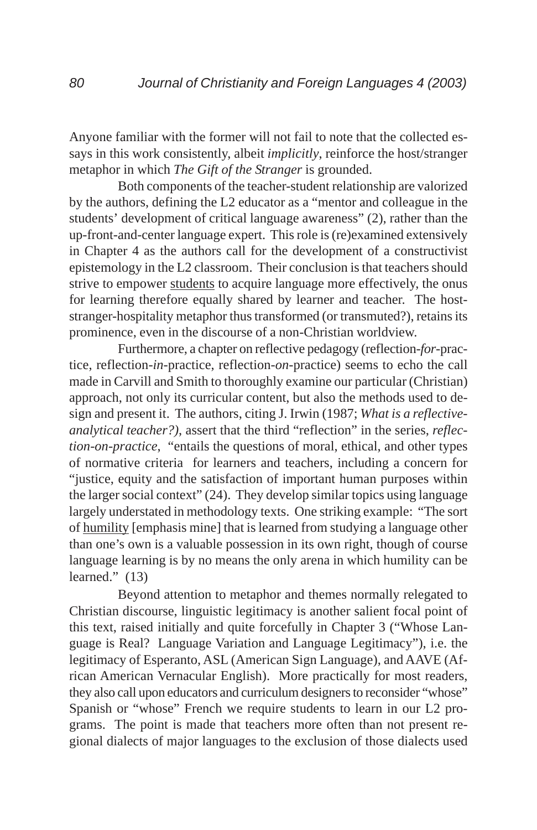Anyone familiar with the former will not fail to note that the collected essays in this work consistently, albeit *implicitly*, reinforce the host/stranger metaphor in which *The Gift of the Stranger* is grounded.

Both components of the teacher-student relationship are valorized by the authors, defining the L2 educator as a "mentor and colleague in the students' development of critical language awareness" (2), rather than the up-front-and-center language expert. This role is (re)examined extensively in Chapter 4 as the authors call for the development of a constructivist epistemology in the L2 classroom. Their conclusion is that teachers should strive to empower students to acquire language more effectively, the onus for learning therefore equally shared by learner and teacher. The hoststranger-hospitality metaphor thus transformed (or transmuted?), retains its prominence, even in the discourse of a non-Christian worldview.

Furthermore, a chapter on reflective pedagogy (reflection-*for*-practice, reflection-*in*-practice, reflection-*on*-practice) seems to echo the call made in Carvill and Smith to thoroughly examine our particular (Christian) approach, not only its curricular content, but also the methods used to design and present it. The authors, citing J. Irwin (1987; *What is a reflectiveanalytical teacher?)*, assert that the third "reflection" in the series, *reflection-on-practice*, "entails the questions of moral, ethical, and other types of normative criteria for learners and teachers, including a concern for "justice, equity and the satisfaction of important human purposes within the larger social context" (24). They develop similar topics using language largely understated in methodology texts. One striking example: "The sort of humility [emphasis mine] that is learned from studying a language other than one's own is a valuable possession in its own right, though of course language learning is by no means the only arena in which humility can be learned." (13)

Beyond attention to metaphor and themes normally relegated to Christian discourse, linguistic legitimacy is another salient focal point of this text, raised initially and quite forcefully in Chapter 3 ("Whose Language is Real? Language Variation and Language Legitimacy"), i.e. the legitimacy of Esperanto, ASL (American Sign Language), and AAVE (African American Vernacular English). More practically for most readers, they also call upon educators and curriculum designers to reconsider "whose" Spanish or "whose" French we require students to learn in our L2 programs. The point is made that teachers more often than not present regional dialects of major languages to the exclusion of those dialects used